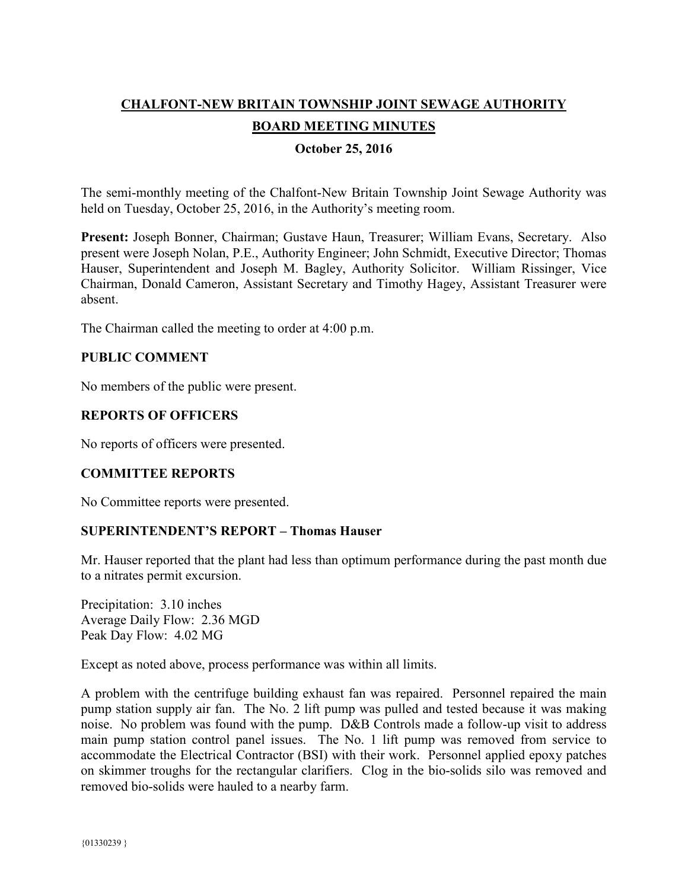# **CHALFONT-NEW BRITAIN TOWNSHIP JOINT SEWAGE AUTHORITY BOARD MEETING MINUTES**

# **October 25, 2016**

The semi-monthly meeting of the Chalfont-New Britain Township Joint Sewage Authority was held on Tuesday, October 25, 2016, in the Authority's meeting room.

**Present:** Joseph Bonner, Chairman; Gustave Haun, Treasurer; William Evans, Secretary. Also present were Joseph Nolan, P.E., Authority Engineer; John Schmidt, Executive Director; Thomas Hauser, Superintendent and Joseph M. Bagley, Authority Solicitor. William Rissinger, Vice Chairman, Donald Cameron, Assistant Secretary and Timothy Hagey, Assistant Treasurer were absent.

The Chairman called the meeting to order at 4:00 p.m.

## **PUBLIC COMMENT**

No members of the public were present.

## **REPORTS OF OFFICERS**

No reports of officers were presented.

## **COMMITTEE REPORTS**

No Committee reports were presented.

## **SUPERINTENDENT'S REPORT – Thomas Hauser**

Mr. Hauser reported that the plant had less than optimum performance during the past month due to a nitrates permit excursion.

Precipitation: 3.10 inches Average Daily Flow: 2.36 MGD Peak Day Flow: 4.02 MG

Except as noted above, process performance was within all limits.

A problem with the centrifuge building exhaust fan was repaired. Personnel repaired the main pump station supply air fan. The No. 2 lift pump was pulled and tested because it was making noise. No problem was found with the pump. D&B Controls made a follow-up visit to address main pump station control panel issues. The No. 1 lift pump was removed from service to accommodate the Electrical Contractor (BSI) with their work. Personnel applied epoxy patches on skimmer troughs for the rectangular clarifiers. Clog in the bio-solids silo was removed and removed bio-solids were hauled to a nearby farm.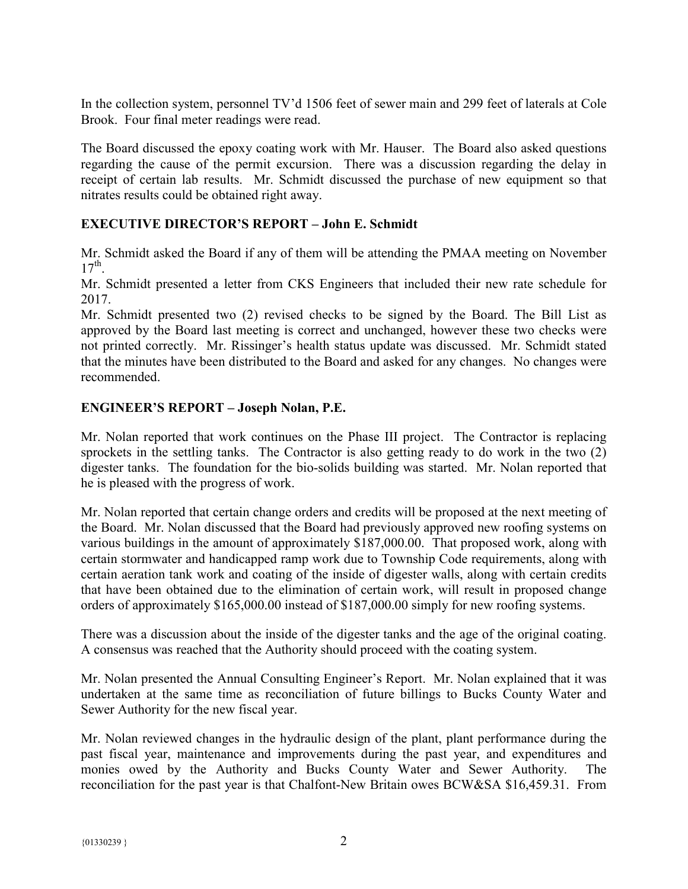In the collection system, personnel TV'd 1506 feet of sewer main and 299 feet of laterals at Cole Brook. Four final meter readings were read.

The Board discussed the epoxy coating work with Mr. Hauser. The Board also asked questions regarding the cause of the permit excursion. There was a discussion regarding the delay in receipt of certain lab results. Mr. Schmidt discussed the purchase of new equipment so that nitrates results could be obtained right away.

# **EXECUTIVE DIRECTOR'S REPORT – John E. Schmidt**

Mr. Schmidt asked the Board if any of them will be attending the PMAA meeting on November  $17<sup>th</sup>$ .

Mr. Schmidt presented a letter from CKS Engineers that included their new rate schedule for 2017.

Mr. Schmidt presented two (2) revised checks to be signed by the Board. The Bill List as approved by the Board last meeting is correct and unchanged, however these two checks were not printed correctly. Mr. Rissinger's health status update was discussed. Mr. Schmidt stated that the minutes have been distributed to the Board and asked for any changes. No changes were recommended.

## **ENGINEER'S REPORT – Joseph Nolan, P.E.**

Mr. Nolan reported that work continues on the Phase III project. The Contractor is replacing sprockets in the settling tanks. The Contractor is also getting ready to do work in the two (2) digester tanks. The foundation for the bio-solids building was started. Mr. Nolan reported that he is pleased with the progress of work.

Mr. Nolan reported that certain change orders and credits will be proposed at the next meeting of the Board. Mr. Nolan discussed that the Board had previously approved new roofing systems on various buildings in the amount of approximately \$187,000.00. That proposed work, along with certain stormwater and handicapped ramp work due to Township Code requirements, along with certain aeration tank work and coating of the inside of digester walls, along with certain credits that have been obtained due to the elimination of certain work, will result in proposed change orders of approximately \$165,000.00 instead of \$187,000.00 simply for new roofing systems.

There was a discussion about the inside of the digester tanks and the age of the original coating. A consensus was reached that the Authority should proceed with the coating system.

Mr. Nolan presented the Annual Consulting Engineer's Report. Mr. Nolan explained that it was undertaken at the same time as reconciliation of future billings to Bucks County Water and Sewer Authority for the new fiscal year.

Mr. Nolan reviewed changes in the hydraulic design of the plant, plant performance during the past fiscal year, maintenance and improvements during the past year, and expenditures and monies owed by the Authority and Bucks County Water and Sewer Authority. The reconciliation for the past year is that Chalfont-New Britain owes BCW&SA \$16,459.31. From